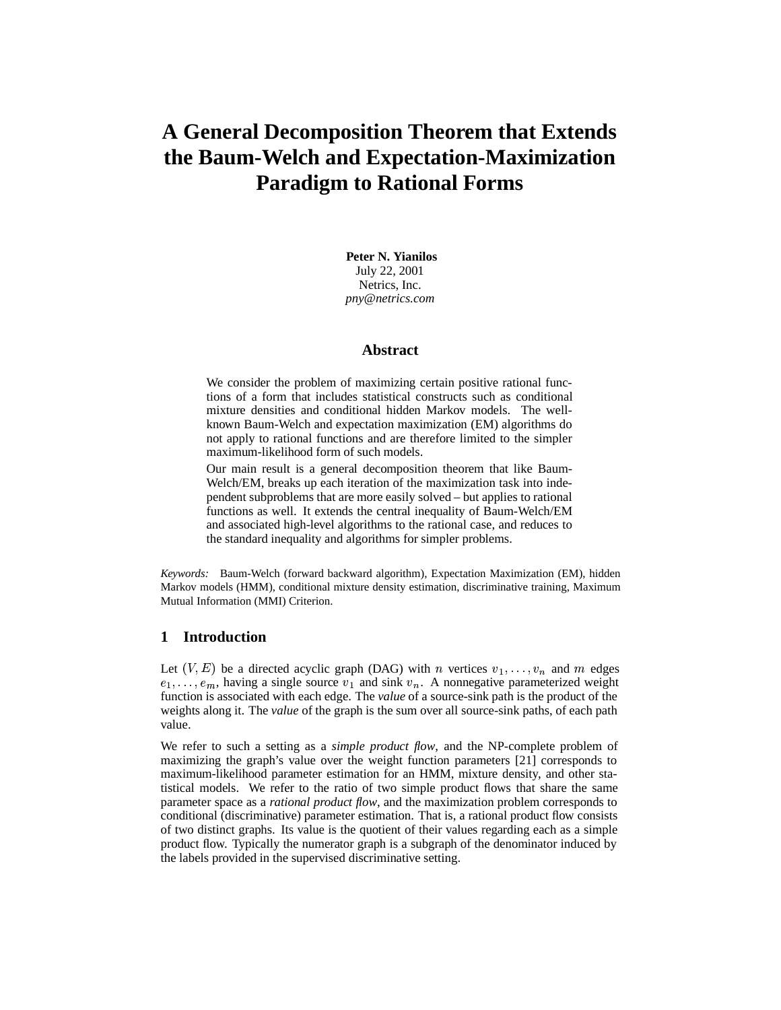# **A General Decomposition Theorem that Extends the Baum-Welch and Expectation-Maximization Paradigm to Rational Forms**

**Peter N. Yianilos** July 22, 2001 Netrics, Inc. *pny@netrics.com*

#### **Abstract**

We consider the problem of maximizing certain positive rational functions of a form that includes statistical constructs such as conditional mixture densities and conditional hidden Markov models. The wellknown Baum-Welch and expectation maximization (EM) algorithms do not apply to rational functions and are therefore limited to the simpler maximum-likelihood form of such models.

Our main result is a general decomposition theorem that like Baum-Welch/EM, breaks up each iteration of the maximization task into independent subproblems that are more easily solved – but applies to rational functions as well. It extends the central inequality of Baum-Welch/EM and associated high-level algorithms to the rational case, and reduces to the standard inequality and algorithms for simpler problems.

*Keywords:* Baum-Welch (forward backward algorithm), Expectation Maximization (EM), hidden Markov models (HMM), conditional mixture density estimation, discriminative training, Maximum Mutual Information (MMI) Criterion.

# **1 Introduction**

Let  $(V, E)$  be a directed acyclic graph (DAG) with n vertices  $v_1, \ldots, v_n$  and m edges  $e_1, \ldots, e_m$ , having a single source  $v_1$  and sink  $v_n$ . A nonnegative parameterized weight function is associated with each edge. The *value* of a source-sink path is the product of the weights along it. The *value* of the graph is the sum over all source-sink paths, of each path value.

We refer to such a setting as a *simple product flow*, and the NP-complete problem of maximizing the graph's value over the weight function parameters [21] corresponds to maximum-likelihood parameter estimation for an HMM, mixture density, and other statistical models. We refer to the ratio of two simple product flows that share the same parameter space as a *rational product flow*, and the maximization problem corresponds to conditional (discriminative) parameter estimation. That is, a rational product flow consists of two distinct graphs. Its value is the quotient of their values regarding each as a simple product flow. Typically the numerator graph is a subgraph of the denominator induced by the labels provided in the supervised discriminative setting.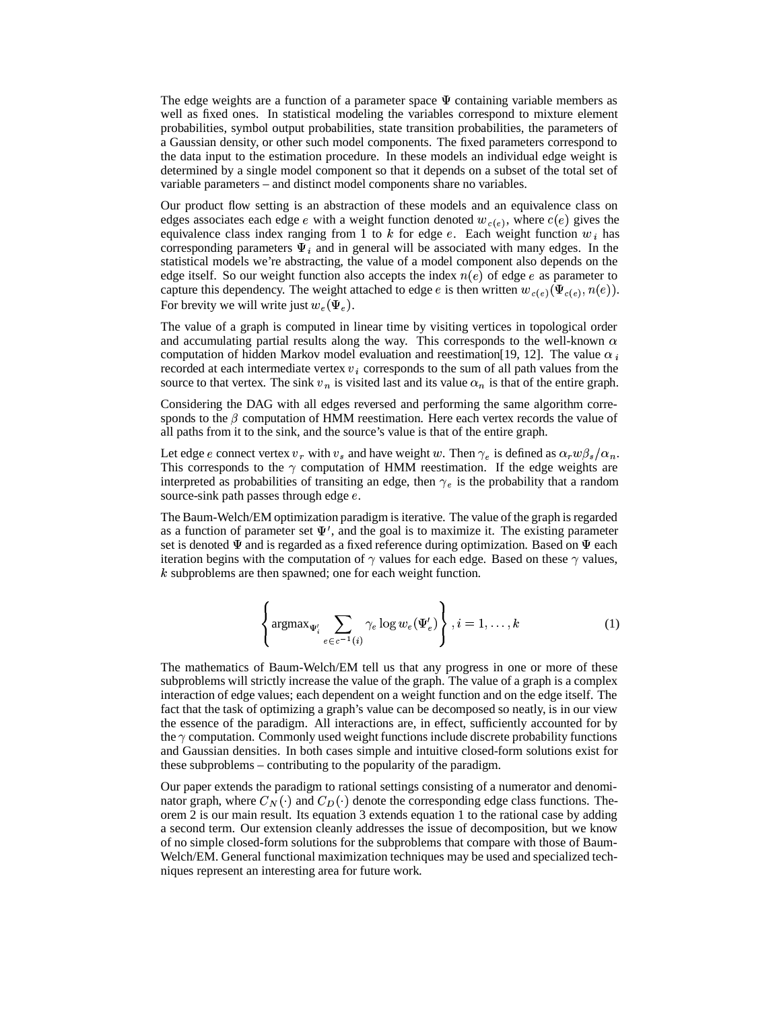The edge weights are a function of a parameter space  $\Psi$  containing variable members as well as fixed ones. In statistical modeling the variables correspond to mixture element probabilities, symbol output probabilities, state transition probabilities, the parameters of a Gaussian density, or other such model components. The fixed parameters correspond to the data input to the estimation procedure. In these models an individual edge weight is determined by a single model component so that it depends on a subset of the total set of variable parameters – and distinct model components share no variables.

Our product flow setting is an abstraction of these models and an equivalence class on edges associates each edge e with a weight function denoted  $w_{c(e)}$ , where  $c(e)$  gives the equivalence class index ranging from 1 to k for edge e. Each weight function  $w_i$  has corresponding parameters  $\Psi_i$  and in general will be associated with many edges. In the statistical models we're abstracting, the value of a model component also depends on the edge itself. So our weight function also accepts the index  $n(e)$  of edge e as parameter to capture this dependency. The weight attached to edge e is then written  $w_{c(e)}(\Psi_{c(e)}, n(e))$ . For brevity we will write just  $w_e(\Psi_e)$ .

The value of a graph is computed in linear time by visiting vertices in topological order and accumulating partial results along the way. This corresponds to the well-known  $\alpha$ computation of hidden Markov model evaluation and reestimation [19, 12]. The value  $\alpha_i$ recorded at each intermediate vertex  $v_i$  corresponds to the sum of all path values from the source to that vertex. The sink  $v_n$  is visited last and its value  $\alpha_n$  is that of the entire graph.

Considering the DAG with all edges reversed and performing the same algorithm corresponds to the  $\beta$  computation of HMM reestimation. Here each vertex records the value of all paths from it to the sink, and the source's value is that of the entire graph.

Let edge e connect vertex  $v_r$  with  $v_s$  and have weight w. Then  $\gamma_e$  is defined as  $\alpha_r w \beta_s/\alpha_n$ . This corresponds to the  $\gamma$  computation of HMM reestimation. If the edge weights are interpreted as probabilities of transiting an edge, then  $\gamma_e$  is the probability that a random source-sink path passes through edge *e*.

The Baum-Welch/EM optimization paradigm is iterative. The value of the graph is regarded as a function of parameter set  $\Psi'$ , and the goal is to maximize it. The existing parameter set is denoted  $\Psi$  and is regarded as a fixed reference during optimization. Based on  $\Psi$  each iteration begins with the computation of  $\gamma$  values for each edge. Based on these  $\gamma$  values,  $k$  subproblems are then spawned; one for each weight function.

$$
\left\{\operatorname{argmax}_{\Psi'_i} \sum_{e \in c^{-1}(i)} \gamma_e \log w_e(\Psi'_e)\right\}, i = 1, \dots, k \tag{1}
$$

The mathematics of Baum-Welch/EM tell us that any progress in one or more of these subproblems will strictly increase the value of the graph. The value of a graph is a complex interaction of edge values; each dependent on a weight function and on the edge itself. The fact that the task of optimizing a graph's value can be decomposed so neatly, is in our view the essence of the paradigm. All interactions are, in effect, sufficiently accounted for by the  $\gamma$  computation. Commonly used weight functions include discrete probability functions and Gaussian densities. In both cases simple and intuitive closed-form solutions exist for these subproblems – contributing to the popularity of the paradigm.

Our paper extends the paradigm to rational settings consisting of a numerator and denominator graph, where  $C_N(\cdot)$  and  $C_D(\cdot)$  denote the corresponding edge class functions. Theorem 2 is our main result. Its equation 3 extends equation 1 to the rational case by adding a second term. Our extension cleanly addresses the issue of decomposition, but we know of no simple closed-form solutions for the subproblems that compare with those of Baum-Welch/EM. General functional maximization techniques may be used and specialized techniques represent an interesting area for future work.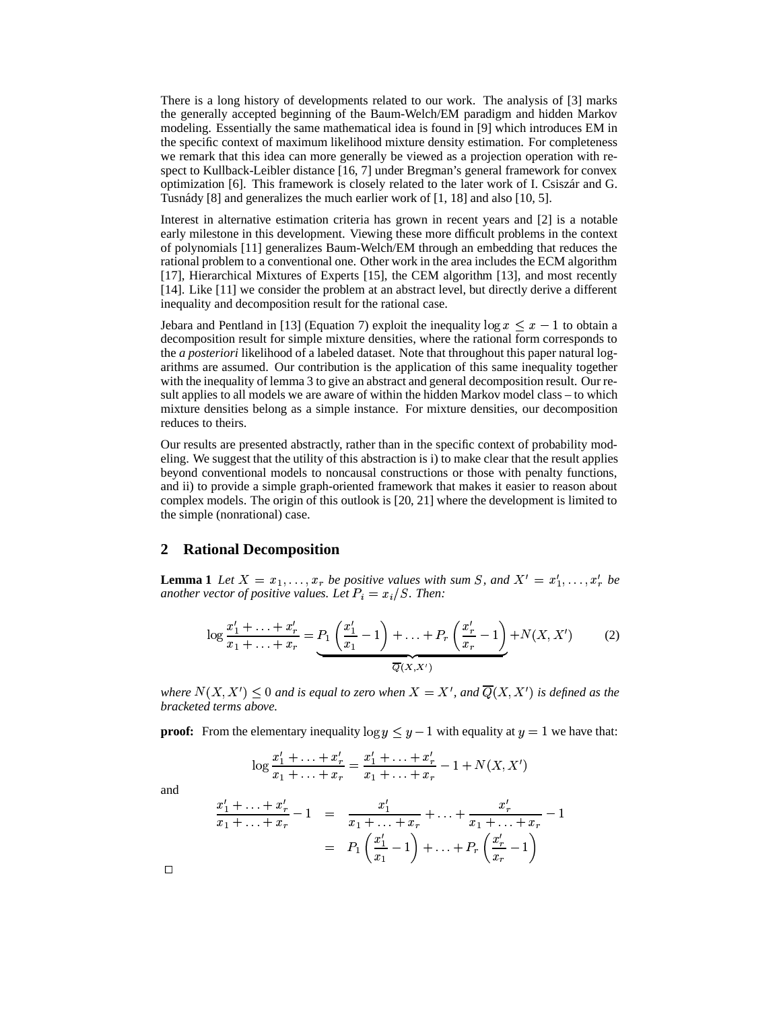There is a long history of developments related to our work. The analysis of [3] marks the generally accepted beginning of the Baum-Welch/EM paradigm and hidden Markov modeling. Essentially the same mathematical idea is found in [9] which introduces EM in the specific context of maximum likelihood mixture density estimation. For completeness we remark that this idea can more generally be viewed as a projection operation with respect to Kullback-Leibler distance [16, 7] under Bregman's general framework for convex optimization [6]. This framework is closely related to the later work of I. Csiszar´ and G. Tusnády  $[8]$  and generalizes the much earlier work of  $[1, 18]$  and also  $[10, 5]$ .

Interest in alternative estimation criteria has grown in recent years and [2] is a notable early milestone in this development. Viewing these more difficult problems in the context of polynomials [11] generalizes Baum-Welch/EM through an embedding that reduces the rational problem to a conventional one. Other work in the area includes the ECM algorithm [17], Hierarchical Mixtures of Experts [15], the CEM algorithm [13], and most recently [14]. Like [11] we consider the problem at an abstract level, but directly derive a different inequality and decomposition result for the rational case.

Jebara and Pentland in [13] (Equation 7) exploit the inequality  $\log x \leq x - 1$  to obtain a decomposition result for simple mixture densities, where the rational form corresponds to the *a posteriori* likelihood of a labeled dataset. Note that throughout this paper natural logarithms are assumed. Our contribution is the application of this same inequality together with the inequality of lemma 3 to give an abstract and general decomposition result. Our result applies to all models we are aware of within the hidden Markov model class – to which mixture densities belong as a simple instance. For mixture densities, our decomposition reduces to theirs.

Our results are presented abstractly, rather than in the specific context of probability modeling. We suggest that the utility of this abstraction is i) to make clear that the result applies beyond conventional models to noncausal constructions or those with penalty functions, and ii) to provide a simple graph-oriented framework that makes it easier to reason about complex models. The origin of this outlook is [20, 21] where the development is limited to the simple (nonrational) case.

#### **2 Rational Decomposition**

**Lemma** 1 Let  $X = x_1, \ldots, x_r$  be positive values with sum S, and  $X' = x'_1, \ldots, x'_r$  be *another vector of positive values. Let*  $P_i = x_i/S$ . Then:

$$
\log \frac{x_1' + \dots + x_r'}{x_1 + \dots + x_r} = \underbrace{P_1\left(\frac{x_1'}{x_1} - 1\right) + \dots + P_r\left(\frac{x_r'}{x_r} - 1\right)}_{\overline{Q}(X, X')} + N(X, X') \tag{2}
$$

where  $N(X, X') \leq 0$  and is equal to zero when  $X = X'$ , and  $\overline{Q}(X, X')$  is defined as the *bracketed terms above.*

**proof:** From the elementary inequality  $\log y \leq y - 1$  with equality at  $y = 1$  we have that:

$$
\log \frac{x_1' + \ldots + x_r'}{x_1 + \ldots + x_r} = \frac{x_1' + \ldots + x_r'}{x_1 + \ldots + x_r} - 1 + N(X, X')
$$

and

$$
\frac{x_1' + \ldots + x_r'}{x_1 + \ldots + x_r} - 1 = \frac{x_1'}{x_1 + \ldots + x_r} + \ldots + \frac{x_r'}{x_1 + \ldots + x_r} - 1
$$

$$
= P_1 \left( \frac{x_1'}{x_1} - 1 \right) + \ldots + P_r \left( \frac{x_r'}{x_r} - 1 \right)
$$

 $\Box$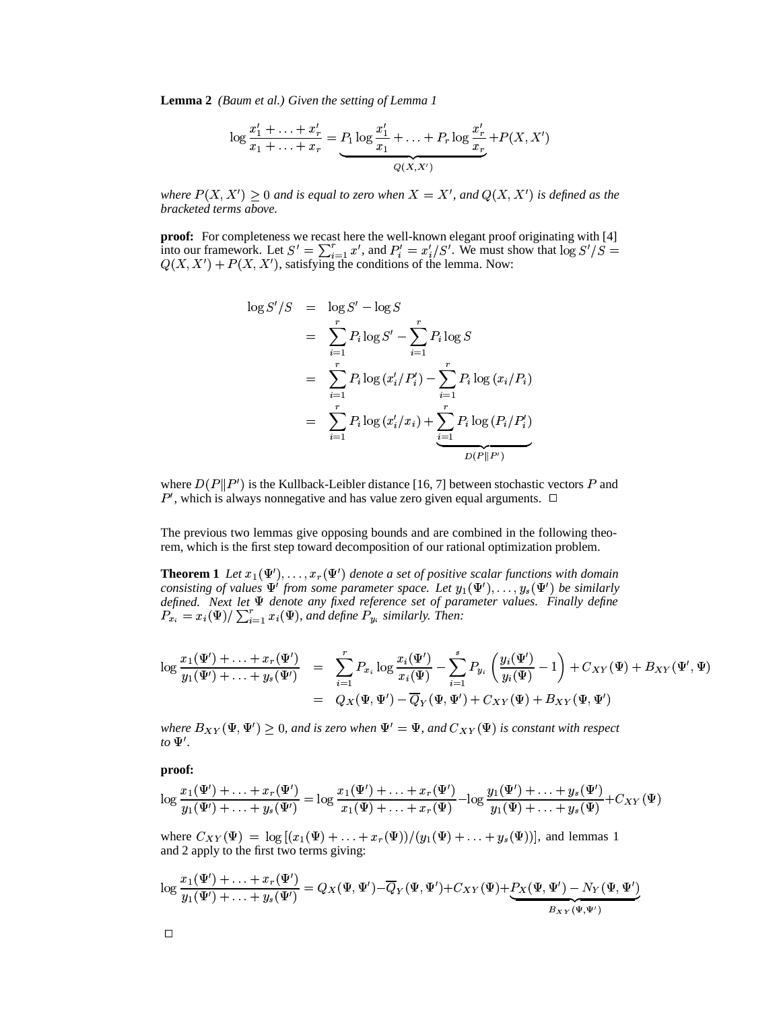**Lemma 2** *(Baum et al.) Given the setting of Lemma 1*

$$
\log \frac{x_1' + \ldots + x_r'}{x_1 + \ldots + x_r} = P_1 \log \frac{x_1'}{x_1} + \ldots + P_r \log \frac{x_r'}{x_r} + P(X, X')
$$

where  $P(X, X') \geq 0$  and is equal to zero when  $X = X'$ , and  $Q(X, X')$  is defined as the *bracketed terms above.*

**proof:** For completeness we recast here the well-known elegant proof originating with [4] into our framework. Let  $S' = \sum_{i=1}^r x'$ , and  $P'_i = x'_i/S'$ . We must show that  $\log S'/S =$  $Q(X, X') + P(X, X')$ , satisfying the conditions of the lemma. Now:

$$
\log S'/S = \log S' - \log S
$$
  
=  $\sum_{i=1}^{r} P_i \log S' - \sum_{i=1}^{r} P_i \log S$   
=  $\sum_{i=1}^{r} P_i \log (x'_i/P'_i) - \sum_{i=1}^{r} P_i \log (x_i/P_i)$   
=  $\sum_{i=1}^{r} P_i \log (x'_i/x_i) + \sum_{i=1}^{r} P_i \log (P_i/P'_i)$ 

where  $D(P||P')$  is the Kullback-Leibler distance [16, 7] between stochastic vectors P and  $P'$ , which is always nonnegative and has value zero given equal arguments.  $\Box$ 

The previous two lemmas give opposing bounds and are combined in the following theorem, which is the first step toward decomposition of our rational optimization problem.

**Theorem 1** Let  $x_1(\Psi')$ ,  $\dots$ ,  $x_r(\Psi')$  denote a set of positive scalar functions with domain *consisting of values*  $\Psi'$  *from some parameter space. Let*  $y_1(\Psi'), \ldots, y_s(\Psi')$  *be similarly defined. Next let denote any fixed reference set of parameter values. Finally define*  $P_{x_i} = x_i(\Psi)/\sum_{i=1}^r x_i(\Psi)$ , and define  $P_{y_i}$  similarly. Then:

$$
\log \frac{x_1(\Psi') + \ldots + x_r(\Psi')}{y_1(\Psi') + \ldots + y_s(\Psi')} = \sum_{i=1}^r P_{x_i} \log \frac{x_i(\Psi')}{x_i(\Psi)} - \sum_{i=1}^s P_{y_i} \left( \frac{y_i(\Psi')}{y_i(\Psi)} - 1 \right) + C_{XY}(\Psi) + B_{XY}(\Psi', \Psi)
$$

$$
= Q_X(\Psi, \Psi') - \overline{Q}_Y(\Psi, \Psi') + C_{XY}(\Psi) + B_{XY}(\Psi, \Psi')
$$

where  $B_{XY}(\Psi, \Psi') \ge 0$ , and is zero when  $\Psi' = \Psi$ , and  $C_{XY}(\Psi)$  is constant with respect *to*  $\Psi'$ .

**proof:**

$$
\log \frac{x_1(\Psi') + \ldots + x_r(\Psi')}{y_1(\Psi') + \ldots + y_s(\Psi')} = \log \frac{x_1(\Psi') + \ldots + x_r(\Psi')}{x_1(\Psi) + \ldots + x_r(\Psi)} - \log \frac{y_1(\Psi') + \ldots + y_s(\Psi')}{y_1(\Psi) + \ldots + y_s(\Psi)} + C_{XY}(\Psi)
$$

where  $C_{XY}(\Psi) = \log \left[ (x_1(\Psi) + \ldots + x_r(\Psi)) \right]$ <sup>g</sup>  $\ldots + x_r(\Psi)$ )/ $(y_1(\Psi) + \ldots + y_s(\Psi))$ <sup>g</sup>  $\ldots + y_s(\Psi))$ , and lemmas 1 and 2 apply to the first two terms giving:

$$
\log \frac{x_1(\Psi') + \ldots + x_r(\Psi')}{y_1(\Psi') + \ldots + y_s(\Psi')} = Q_X(\Psi, \Psi') - \overline{Q}_Y(\Psi, \Psi') + C_{XY}(\Psi) + \underbrace{P_X(\Psi, \Psi') - N_Y(\Psi, \Psi')}_{B_{XY}(\Psi, \Psi')}
$$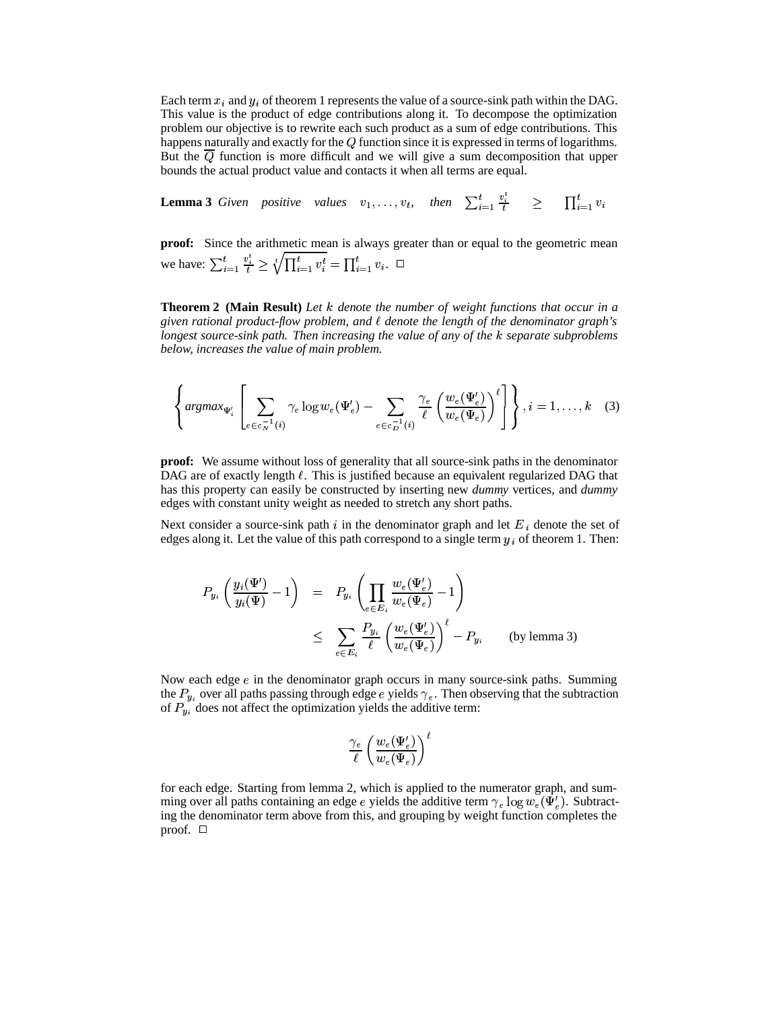Each term  $x_i$  and  $y_i$  of theorem 1 represents the value of a source-sink path within the DAG. This value is the product of edge contributions along it. To decompose the optimization problem our objective is to rewrite each such product as a sum of edge contributions. This happens naturally and exactly for the  $Q$  function since it is expressed in terms of logarithms. But the  $\overline{Q}$  function is more difficult and we will give a sum decomposition that upper bounds the actual product value and contacts it when all terms are equal.

**Lemma** 3 Given positive values  $v_1, \ldots, v_t$ , then  $\sum_{i=1}^t \frac{v_i}{t} \ge \prod_{i=1}^t v_i$  $\lambda = 1$ 

**proof:** Since the arithmetic mean is always greater than or equal to the geometric mean we have:  $\sum_{i=1}^t \frac{v_i^t}{t} \ge \sqrt[t]{\prod_{i=1}^t v_i^t} = \prod_{i=1}^t v_i$ .  $\Box$ 

**Theorem 2 (Main Result)** *Let* % *denote the number of weight functions that occur in a given rational product-flow problem, and denote the length of the denominator graph's longest source-sink path. Then increasing the value of any of the* % *separate subproblems below, increases the value of main problem.*

$$
\left\{\underset{e \in c_{N}^{-1}(i)}{\operatorname{argmax}}_{\Psi'_{i}}\left[\sum_{e \in c_{N}^{-1}(i)} \gamma_{e} \log w_{e}(\Psi'_{e}) - \sum_{e \in c_{D}^{-1}(i)} \frac{\gamma_{e}}{\ell}\left(\frac{w_{e}(\Psi'_{e})}{w_{e}(\Psi_{e})}\right)^{\ell}\right]\right\}, i = 1, \ldots, k \quad (3)
$$

**proof:** We assume without loss of generality that all source-sink paths in the denominator DAG are of exactly length  $\ell$ . This is justified because an equivalent regularized DAG that has this property can easily be constructed by inserting new *dummy* vertices, and *dummy* edges with constant unity weight as needed to stretch any short paths.

Next consider a source-sink path  $i$  in the denominator graph and let  $E_i$  denote the set of edges along it. Let the value of this path correspond to a single term  $y_i$  of theorem 1. Then:

$$
P_{y_i}\left(\frac{y_i(\Psi')}{y_i(\Psi)}-1\right) = P_{y_i}\left(\prod_{e \in E_i} \frac{w_e(\Psi'_e)}{w_e(\Psi_e)}-1\right)
$$
  

$$
\leq \sum_{e \in E_i} \frac{P_{y_i}}{\ell} \left(\frac{w_e(\Psi'_e)}{w_e(\Psi_e)}\right)^{\ell} - P_{y_i} \qquad \text{(by lemma 3)}
$$

Now each edge  $e$  in the denominator graph occurs in many source-sink paths. Summing the  $P_{\nu_i}$  over all paths passing through edge e yields  $\gamma_e$ . Then observing that the subtraction of  $P_{u_i}$  does not affect the optimization yields the additive term:

$$
\frac{\gamma_e}{\ell}\left(\frac{w_e(\Psi_e')}{w_e(\Psi_e)}\right)^{\ell}
$$

for each edge. Starting from lemma 2, which is applied to the numerator graph, and summing over all paths containing an edge e yields the additive term  $\gamma_e \log w_e(\Psi'_e)$ . Subtracting the denominator term above from this, and grouping by weight function completes the proof.  $\square$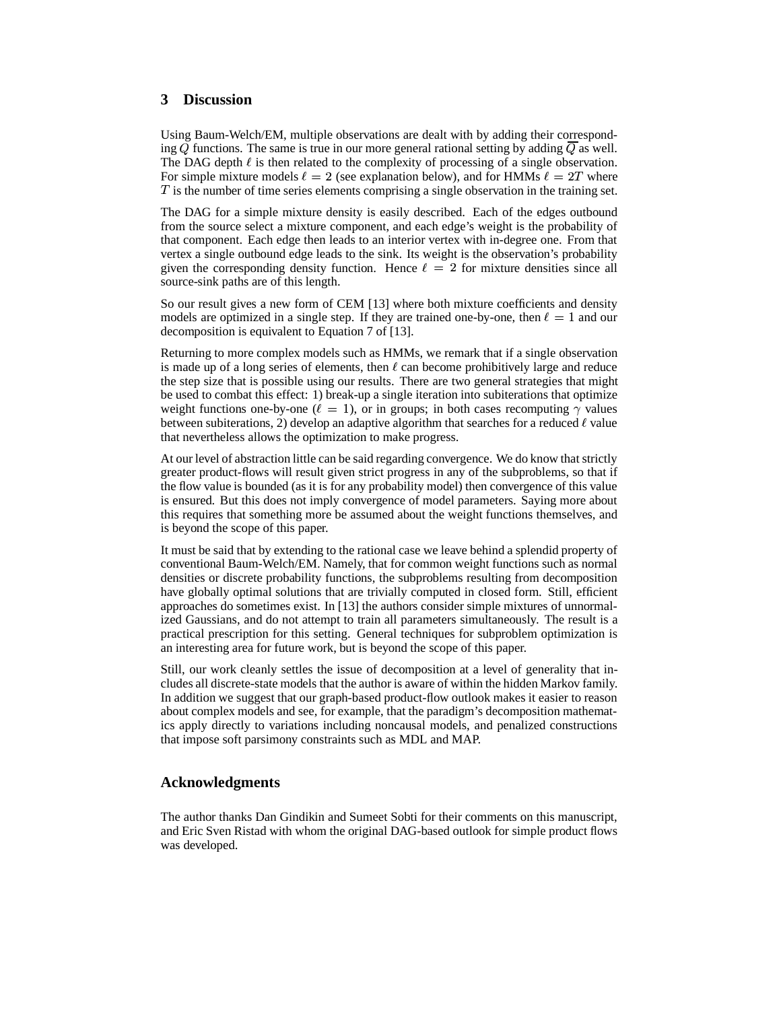## **3 Discussion**

Using Baum-Welch/EM, multiple observations are dealt with by adding their corresponding  $Q$  functions. The same is true in our more general rational setting by adding  $Q$  as well. The DAG depth  $\ell$  is then related to the complexity of processing of a single observation. For simple mixture models  $\ell = 2$  (see explanation below), and for HMMs  $\ell = 2T$  where T is the number of time series elements comprising a single observation in the training set.

The DAG for a simple mixture density is easily described. Each of the edges outbound from the source select a mixture component, and each edge's weight is the probability of that component. Each edge then leads to an interior vertex with in-degree one. From that vertex a single outbound edge leads to the sink. Its weight is the observation's probability given the corresponding density function. Hence  $\ell = 2$  for mixture densities since all source-sink paths are of this length.

So our result gives a new form of CEM [13] where both mixture coefficients and density models are optimized in a single step. If they are trained one-by-one, then  $\ell = 1$  and our decomposition is equivalent to Equation 7 of [13].

Returning to more complex models such as HMMs, we remark that if a single observation is made up of a long series of elements, then  $\ell$  can become prohibitively large and reduce the step size that is possible using our results. There are two general strategies that might be used to combat this effect: 1) break-up a single iteration into subiterations that optimize weight functions one-by-one ( $\ell = 1$ ), or in groups; in both cases recomputing  $\gamma$  values between subiterations, 2) develop an adaptive algorithm that searches for a reduced  $\ell$  value that nevertheless allows the optimization to make progress.

At our level of abstraction little can be said regarding convergence. We do know that strictly greater product-flows will result given strict progress in any of the subproblems, so that if the flow value is bounded (as it is for any probability model) then convergence of this value is ensured. But this does not imply convergence of model parameters. Saying more about this requires that something more be assumed about the weight functions themselves, and is beyond the scope of this paper.

It must be said that by extending to the rational case we leave behind a splendid property of conventional Baum-Welch/EM. Namely, that for common weight functions such as normal densities or discrete probability functions, the subproblems resulting from decomposition have globally optimal solutions that are trivially computed in closed form. Still, efficient approaches do sometimes exist. In [13] the authors consider simple mixtures of unnormalized Gaussians, and do not attempt to train all parameters simultaneously. The result is a practical prescription for this setting. General techniques for subproblem optimization is an interesting area for future work, but is beyond the scope of this paper.

Still, our work cleanly settles the issue of decomposition at a level of generality that includes all discrete-state models that the author is aware of within the hidden Markov family. In addition we suggest that our graph-based product-flow outlook makes it easier to reason about complex models and see, for example, that the paradigm's decomposition mathematics apply directly to variations including noncausal models, and penalized constructions that impose soft parsimony constraints such as MDL and MAP.

## **Acknowledgments**

The author thanks Dan Gindikin and Sumeet Sobti for their comments on this manuscript, and Eric Sven Ristad with whom the original DAG-based outlook for simple product flows was developed.